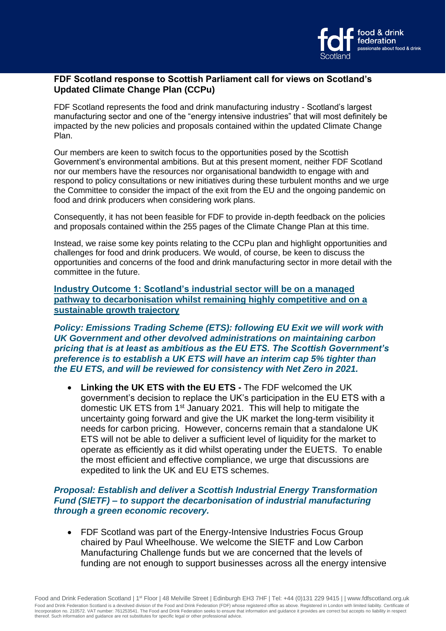

### **FDF Scotland response to Scottish Parliament call for views on Scotland's Updated Climate Change Plan (CCPu)**

FDF Scotland represents the food and drink manufacturing industry - Scotland's largest manufacturing sector and one of the "energy intensive industries" that will most definitely be impacted by the new policies and proposals contained within the updated Climate Change Plan.

Our members are keen to switch focus to the opportunities posed by the Scottish Government's environmental ambitions. But at this present moment, neither FDF Scotland nor our members have the resources nor organisational bandwidth to engage with and respond to policy consultations or new initiatives during these turbulent months and we urge the Committee to consider the impact of the exit from the EU and the ongoing pandemic on food and drink producers when considering work plans.

Consequently, it has not been feasible for FDF to provide in-depth feedback on the policies and proposals contained within the 255 pages of the Climate Change Plan at this time.

Instead, we raise some key points relating to the CCPu plan and highlight opportunities and challenges for food and drink producers. We would, of course, be keen to discuss the opportunities and concerns of the food and drink manufacturing sector in more detail with the committee in the future.

**Industry Outcome 1: Scotland's industrial sector will be on a managed pathway to decarbonisation whilst remaining highly competitive and on a sustainable growth trajectory**

*Policy: Emissions Trading Scheme (ETS): following EU Exit we will work with UK Government and other devolved administrations on maintaining carbon pricing that is at least as ambitious as the EU ETS. The Scottish Government's preference is to establish a UK ETS will have an interim cap 5% tighter than the EU ETS, and will be reviewed for consistency with Net Zero in 2021.*

• **Linking the UK ETS with the EU ETS -** The FDF welcomed the UK government's decision to replace the UK's participation in the EU ETS with a domestic UK ETS from 1<sup>st</sup> January 2021. This will help to mitigate the uncertainty going forward and give the UK market the long-term visibility it needs for carbon pricing. However, concerns remain that a standalone UK ETS will not be able to deliver a sufficient level of liquidity for the market to operate as efficiently as it did whilst operating under the EUETS. To enable the most efficient and effective compliance, we urge that discussions are expedited to link the UK and EU ETS schemes.

# *Proposal: Establish and deliver a Scottish Industrial Energy Transformation Fund (SIETF) – to support the decarbonisation of industrial manufacturing through a green economic recovery.*

• FDF Scotland was part of the Energy-Intensive Industries Focus Group chaired by Paul Wheelhouse. We welcome the SIETF and Low Carbon Manufacturing Challenge funds but we are concerned that the levels of funding are not enough to support businesses across all the energy intensive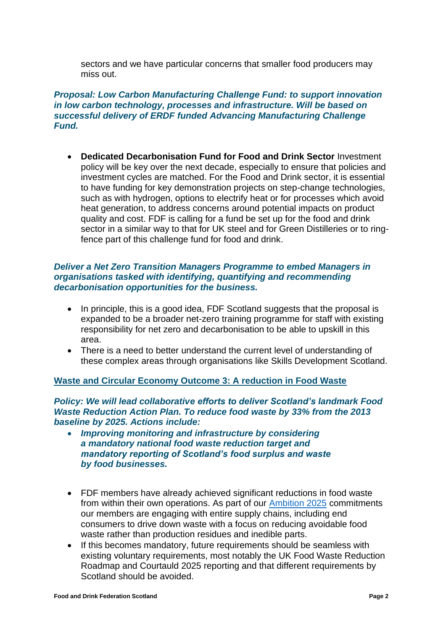sectors and we have particular concerns that smaller food producers may miss out.

# *Proposal: Low Carbon Manufacturing Challenge Fund: to support innovation in low carbon technology, processes and infrastructure. Will be based on successful delivery of ERDF funded Advancing Manufacturing Challenge Fund.*

• **Dedicated Decarbonisation Fund for Food and Drink Sector** Investment policy will be key over the next decade, especially to ensure that policies and investment cycles are matched. For the Food and Drink sector, it is essential to have funding for key demonstration projects on step-change technologies, such as with hydrogen, options to electrify heat or for processes which avoid heat generation, to address concerns around potential impacts on product quality and cost. FDF is calling for a fund be set up for the food and drink sector in a similar way to that for UK steel and for Green Distilleries or to ringfence part of this challenge fund for food and drink.

#### *Deliver a Net Zero Transition Managers Programme to embed Managers in organisations tasked with identifying, quantifying and recommending decarbonisation opportunities for the business.*

- In principle, this is a good idea, FDF Scotland suggests that the proposal is expanded to be a broader net-zero training programme for staff with existing responsibility for net zero and decarbonisation to be able to upskill in this area.
- There is a need to better understand the current level of understanding of these complex areas through organisations like Skills Development Scotland.

# **Waste and Circular Economy Outcome 3: A reduction in Food Waste**

*Policy: We will lead collaborative efforts to deliver Scotland's landmark Food Waste Reduction Action Plan. To reduce food waste by 33% from the 2013 baseline by 2025. Actions include:*

- *Improving monitoring and infrastructure by considering a mandatory national food waste reduction target and mandatory reporting of Scotland's food surplus and waste by food businesses.*
- FDF members have already achieved significant reductions in food waste from within their own operations. As part of our [Ambition 2025](http://www.fdfscotland.org.uk/corporate_pubs/Ambition-2025-booklet.pdf) commitments our members are engaging with entire supply chains, including end consumers to drive down waste with a focus on reducing avoidable food waste rather than production residues and inedible parts.
- If this becomes mandatory, future requirements should be seamless with existing voluntary requirements, most notably the UK Food Waste Reduction Roadmap and Courtauld 2025 reporting and that different requirements by Scotland should be avoided.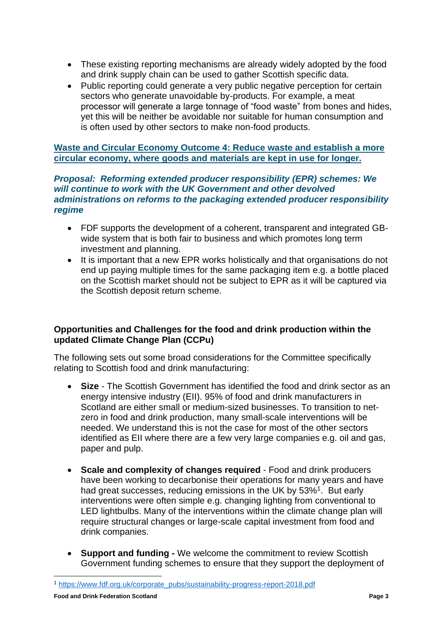- These existing reporting mechanisms are already widely adopted by the food and drink supply chain can be used to gather Scottish specific data.
- Public reporting could generate a very public negative perception for certain sectors who generate unavoidable by-products. For example, a meat processor will generate a large tonnage of "food waste" from bones and hides, yet this will be neither be avoidable nor suitable for human consumption and is often used by other sectors to make non-food products.

# **Waste and Circular Economy Outcome 4: Reduce waste and establish a more circular economy, where goods and materials are kept in use for longer.**

### *Proposal: Reforming extended producer responsibility (EPR) schemes: We will continue to work with the UK Government and other devolved administrations on reforms to the packaging extended producer responsibility regime*

- FDF supports the development of a coherent, transparent and integrated GBwide system that is both fair to business and which promotes long term investment and planning.
- It is important that a new EPR works holistically and that organisations do not end up paying multiple times for the same packaging item e.g. a bottle placed on the Scottish market should not be subject to EPR as it will be captured via the Scottish deposit return scheme.

# **Opportunities and Challenges for the food and drink production within the updated Climate Change Plan (CCPu)**

The following sets out some broad considerations for the Committee specifically relating to Scottish food and drink manufacturing:

- **Size**  The Scottish Government has identified the food and drink sector as an energy intensive industry (EII). 95% of food and drink manufacturers in Scotland are either small or medium-sized businesses. To transition to netzero in food and drink production, many small-scale interventions will be needed. We understand this is not the case for most of the other sectors identified as EII where there are a few very large companies e.g. oil and gas, paper and pulp.
- **Scale and complexity of changes required** Food and drink producers have been working to decarbonise their operations for many years and have had great successes, reducing emissions in the UK by 53%<sup>1</sup>. But early interventions were often simple e.g. changing lighting from conventional to LED lightbulbs. Many of the interventions within the climate change plan will require structural changes or large-scale capital investment from food and drink companies.
- **Support and funding -** We welcome the commitment to review Scottish Government funding schemes to ensure that they support the deployment of

<sup>1</sup> [https://www.fdf.org.uk/corporate\\_pubs/sustainability-progress-report-2018.pdf](https://www.fdf.org.uk/corporate_pubs/sustainability-progress-report-2018.pdf)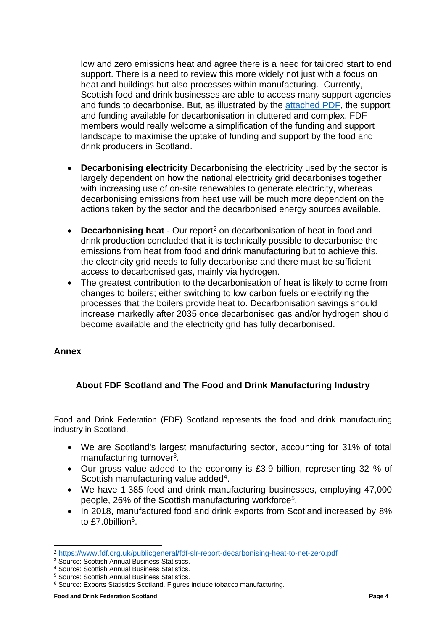low and zero emissions heat and agree there is a need for tailored start to end support. There is a need to review this more widely not just with a focus on heat and buildings but also processes within manufacturing. Currently, Scottish food and drink businesses are able to access many support agencies and funds to decarbonise. But, as illustrated by the [attached PDF,](#page-4-0) the support and funding available for decarbonisation in cluttered and complex. FDF members would really welcome a simplification of the funding and support landscape to maximise the uptake of funding and support by the food and drink producers in Scotland.

- **Decarbonising electricity** Decarbonising the electricity used by the sector is largely dependent on how the national electricity grid decarbonises together with increasing use of on-site renewables to generate electricity, whereas decarbonising emissions from heat use will be much more dependent on the actions taken by the sector and the decarbonised energy sources available.
- **Decarbonising heat** Our report<sup>2</sup> on decarbonisation of heat in food and drink production concluded that it is technically possible to decarbonise the emissions from heat from food and drink manufacturing but to achieve this, the electricity grid needs to fully decarbonise and there must be sufficient access to decarbonised gas, mainly via hydrogen.
- The greatest contribution to the decarbonisation of heat is likely to come from changes to boilers; either switching to low carbon fuels or electrifying the processes that the boilers provide heat to. Decarbonisation savings should increase markedly after 2035 once decarbonised gas and/or hydrogen should become available and the electricity grid has fully decarbonised.

# **Annex**

# **About FDF Scotland and The Food and Drink Manufacturing Industry**

Food and Drink Federation (FDF) Scotland represents the food and drink manufacturing industry in Scotland.

- We are Scotland's largest manufacturing sector, accounting for 31% of total manufacturing turnover<sup>3</sup>.
- Our gross value added to the economy is £3.9 billion, representing 32 % of Scottish manufacturing value added<sup>4</sup>.
- We have 1,385 food and drink manufacturing businesses, employing 47,000 people, 26% of the Scottish manufacturing workforce<sup>5</sup>.
- In 2018, manufactured food and drink exports from Scotland increased by 8% to £7.0billion<sup>6</sup>.

<sup>2</sup> <https://www.fdf.org.uk/publicgeneral/fdf-slr-report-decarbonising-heat-to-net-zero.pdf>

<sup>&</sup>lt;sup>3</sup> Source: Scottish Annual Business Statistics.

<sup>4</sup> Source: Scottish Annual Business Statistics.

<sup>5</sup> Source: Scottish Annual Business Statistics.

<sup>6</sup> Source: Exports Statistics Scotland. Figures include tobacco manufacturing.